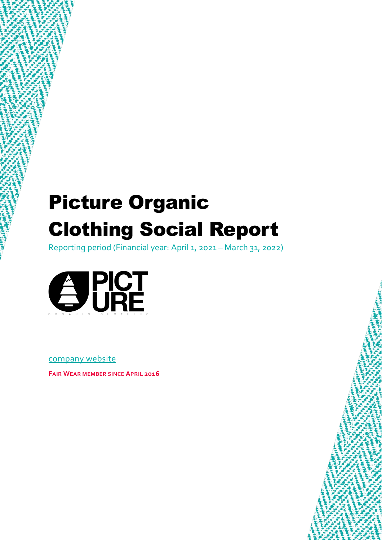# Picture Organic Clothing Social Report

Reporting period (Financial year: April 1, 2021 – March 31, 2022)



[company website](https://www.picture-organic-clothing.com/en/)

**FAIR WEAR MEMBER SINCE APRIL 2016**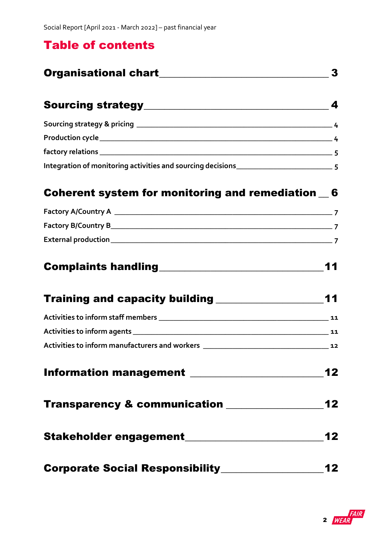### Table of contents

|                                                                  | 3    |
|------------------------------------------------------------------|------|
|                                                                  |      |
|                                                                  |      |
|                                                                  |      |
|                                                                  |      |
| Integration of monitoring activities and sourcing decisions<br>5 |      |
| Coherent system for monitoring and remediation 6                 |      |
|                                                                  |      |
|                                                                  |      |
|                                                                  |      |
|                                                                  | 11   |
|                                                                  | 11   |
|                                                                  |      |
|                                                                  |      |
|                                                                  |      |
|                                                                  | $12$ |
| Transparency & communication _______________                     | 12   |
|                                                                  | 12   |

| <b>Corporate Social Responsibility</b> | 12 |
|----------------------------------------|----|
|                                        |    |

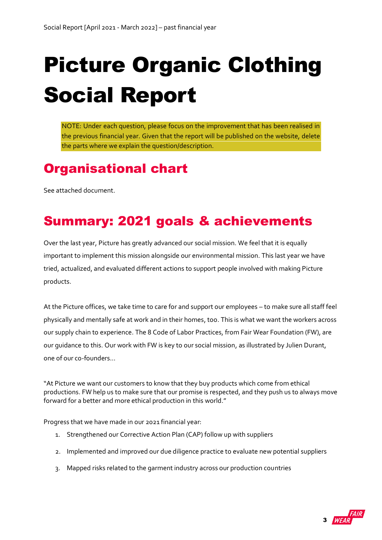# Picture Organic Clothing Social Report

NOTE: Under each question, please focus on the improvement that has been realised in the previous financial year. Given that the report will be published on the website, delete the parts where we explain the question/description.

# <span id="page-2-0"></span>Organisational chart

See attached document.

# Summary: 2021 goals & achievements

Over the last year, Picture has greatly advanced our social mission. We feel that it is equally important to implement this mission alongside our environmental mission. This last year we have tried, actualized, and evaluated different actions to support people involved with making Picture products.

At the Picture offices, we take time to care for and support our employees – to make sure all staff feel physically and mentally safe at work and in their homes, too. This is what we want the workers across our supply chain to experience. The 8 Code of Labor Practices, from Fair Wear Foundation (FW), are our guidance to this. Our work with FW is key to our social mission, as illustrated by Julien Durant, one of our co-founders...

"At Picture we want our customers to know that they buy products which come from ethical productions. FW help us to make sure that our promise is respected, and they push us to always move forward for a better and more ethical production in this world."

Progress that we have made in our 2021 financial year:

- 1. Strengthened our Corrective Action Plan (CAP) follow up with suppliers
- 2. Implemented and improved our due diligence practice to evaluate new potential suppliers
- 3. Mapped risks related to the garment industry across our production countries

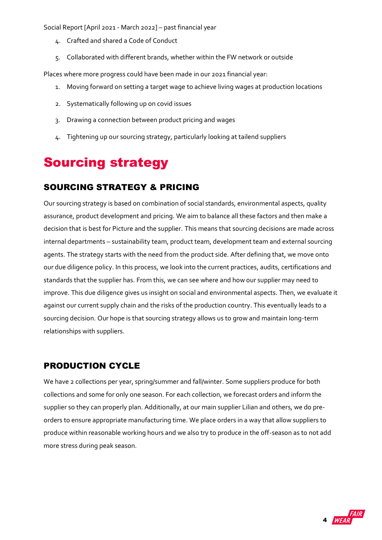- 4. Crafted and shared a Code of Conduct
- 5. Collaborated with different brands, whether within the FW network or outside

Places where more progress could have been made in our 2021 financial year:

- 1. Moving forward on setting a target wage to achieve living wages at production locations
- 2. Systematically following up on covid issues
- 3. Drawing a connection between product pricing and wages
- 4. Tightening up our sourcing strategy, particularly looking at tailend suppliers

# <span id="page-3-0"></span>Sourcing strategy

### <span id="page-3-1"></span>SOURCING STRATEGY & PRICING

Our sourcing strategy is based on combination of social standards, environmental aspects, quality assurance, product development and pricing. We aim to balance all these factors and then make a decision that is best for Picture and the supplier. This means that sourcing decisions are made across internal departments – sustainability team, product team, development team and external sourcing agents. The strategy starts with the need from the product side. After defining that, we move onto our due diligence policy. In this process, we look into the current practices, audits, certifications and standards that the supplier has. From this, we can see where and how our supplier may need to improve. This due diligence gives us insight on social and environmental aspects. Then, we evaluate it against our current supply chain and the risks of the production country. This eventually leads to a sourcing decision. Our hope is that sourcing strategy allows us to grow and maintain long-term relationships with suppliers.

### <span id="page-3-2"></span>PRODUCTION CYCLE

We have 2 collections per year, spring/summer and fall/winter. Some suppliers produce for both collections and some for only one season. For each collection, we forecast orders and inform the supplier so they can properly plan. Additionally, at our main supplier Lilian and others, we do preorders to ensure appropriate manufacturing time. We place orders in a way that allow suppliers to produce within reasonable working hours and we also try to produce in the off-season as to not add more stress during peak season.

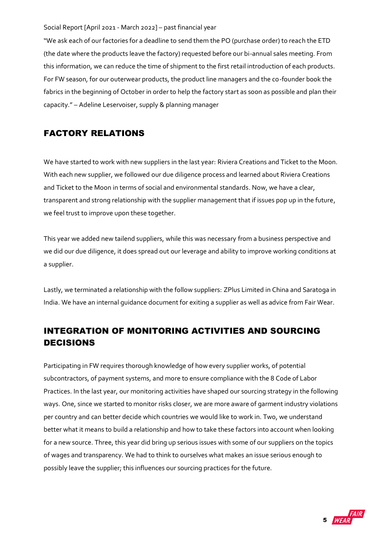"We ask each of our factories for a deadline to send them the PO (purchase order) to reach the ETD (the date where the products leave the factory) requested before our bi-annual sales meeting. From this information, we can reduce the time of shipment to the first retail introduction of each products. For FW season, for our outerwear products, the product line managers and the co-founder book the fabrics in the beginning of October in order to help the factory start as soon as possible and plan their capacity." – Adeline Leservoiser, supply & planning manager

### <span id="page-4-0"></span>FACTORY RELATIONS

We have started to work with new suppliers in the last year: Riviera Creations and Ticket to the Moon. With each new supplier, we followed our due diligence process and learned about Riviera Creations and Ticket to the Moon in terms of social and environmental standards. Now, we have a clear, transparent and strong relationship with the supplier management that if issues pop up in the future, we feel trust to improve upon these together.

This year we added new tailend suppliers, while this was necessary from a business perspective and we did our due diligence, it does spread out our leverage and ability to improve working conditions at a supplier.

Lastly, we terminated a relationship with the follow suppliers: ZPlus Limited in China and Saratoga in India. We have an internal guidance document for exiting a supplier as well as advice from Fair Wear.

### <span id="page-4-1"></span>INTEGRATION OF MONITORING ACTIVITIES AND SOURCING DECISIONS

Participating in FW requires thorough knowledge of how every supplier works, of potential subcontractors, of payment systems, and more to ensure compliance with the 8 Code of Labor Practices. In the last year, our monitoring activities have shaped our sourcing strategy in the following ways. One, since we started to monitor risks closer, we are more aware of garment industry violations per country and can better decide which countries we would like to work in. Two, we understand better what it means to build a relationship and how to take these factors into account when looking for a new source. Three, this year did bring up serious issues with some of our suppliers on the topics of wages and transparency. We had to think to ourselves what makes an issue serious enough to possibly leave the supplier; this influences our sourcing practices for the future.

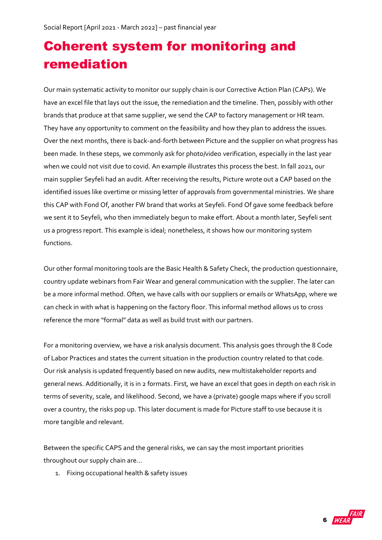# <span id="page-5-0"></span>Coherent system for monitoring and remediation

Our main systematic activity to monitor our supply chain is our Corrective Action Plan (CAPs). We have an excel file that lays out the issue, the remediation and the timeline. Then, possibly with other brands that produce at that same supplier, we send the CAP to factory management or HR team. They have any opportunity to comment on the feasibility and how they plan to address the issues. Over the next months, there is back-and-forth between Picture and the supplier on what progress has been made. In these steps, we commonly ask for photo/video verification, especially in the last year when we could not visit due to covid. An example illustrates this process the best. In fall 2021, our main supplier Seyfeli had an audit. After receiving the results, Picture wrote out a CAP based on the identified issues like overtime or missing letter of approvals from governmental ministries. We share this CAP with Fond Of, another FW brand that works at Seyfeli. Fond Of gave some feedback before we sent it to Seyfeli, who then immediately begun to make effort. About a month later, Seyfeli sent us a progress report. This example is ideal; nonetheless, it shows how our monitoring system functions.

Our other formal monitoring tools are the Basic Health & Safety Check, the production questionnaire, country update webinars from Fair Wear and general communication with the supplier. The later can be a more informal method. Often, we have calls with our suppliers or emails or WhatsApp, where we can check in with what is happening on the factory floor. This informal method allows us to cross reference the more "formal" data as well as build trust with our partners.

For a monitoring overview, we have a risk analysis document. This analysis goes through the 8 Code of Labor Practices and states the current situation in the production country related to that code. Our risk analysis is updated frequently based on new audits, new multistakeholder reports and general news. Additionally, it is in 2 formats. First, we have an excel that goes in depth on each risk in terms of severity, scale, and likelihood. Second, we have a (private) google maps where if you scroll over a country, the risks pop up. This later document is made for Picture staff to use because it is more tangible and relevant.

Between the specific CAPS and the general risks, we can say the most important priorities throughout our supply chain are…

1. Fixing occupational health & safety issues

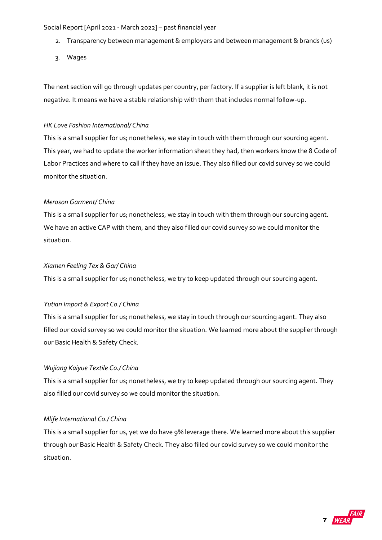- 2. Transparency between management & employers and between management & brands (us)
- 3. Wages

The next section will go through updates per country, per factory. If a supplier is left blank, it is not negative. It means we have a stable relationship with them that includes normal follow-up.

#### *HK Love Fashion International/ China*

This is a small supplier for us; nonetheless, we stay in touch with them through our sourcing agent. This year, we had to update the worker information sheet they had, then workers know the 8 Code of Labor Practices and where to call if they have an issue. They also filled our covid survey so we could monitor the situation.

#### *Meroson Garment/ China*

This is a small supplier for us; nonetheless, we stay in touch with them through our sourcing agent. We have an active CAP with them, and they also filled our covid survey so we could monitor the situation.

#### *Xiamen Feeling Tex & Gar/ China*

This is a small supplier for us; nonetheless, we try to keep updated through our sourcing agent.

#### *Yutian Import & Export Co./ China*

This is a small supplier for us; nonetheless, we stay in touch through our sourcing agent. They also filled our covid survey so we could monitor the situation. We learned more about the supplier through our Basic Health & Safety Check.

#### *Wujiang Kaiyue Textile Co./ China*

This is a small supplier for us; nonetheless, we try to keep updated through our sourcing agent. They also filled our covid survey so we could monitor the situation.

#### *Mlife International Co./ China*

This is a small supplier for us, yet we do have 9% leverage there. We learned more about this supplier through our Basic Health & Safety Check. They also filled our covid survey so we could monitor the situation.

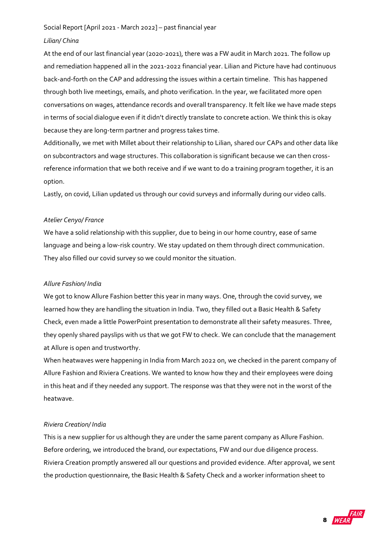#### *Lilian/ China*

At the end of our last financial year (2020-2021), there was a FW audit in March 2021. The follow up and remediation happened all in the 2021-2022 financial year. Lilian and Picture have had continuous back-and-forth on the CAP and addressing the issues within a certain timeline. This has happened through both live meetings, emails, and photo verification. In the year, we facilitated more open conversations on wages, attendance records and overall transparency. It felt like we have made steps in terms of social dialogue even if it didn't directly translate to concrete action. We think this is okay because they are long-term partner and progress takes time.

Additionally, we met with Millet about their relationship to Lilian, shared our CAPs and other data like on subcontractors and wage structures. This collaboration is significant because we can then crossreference information that we both receive and if we want to do a training program together, it is an option.

Lastly, on covid, Lilian updated us through our covid surveys and informally during our video calls.

#### *Atelier Cenyo/ France*

We have a solid relationship with this supplier, due to being in our home country, ease of same language and being a low-risk country. We stay updated on them through direct communication. They also filled our covid survey so we could monitor the situation.

#### *Allure Fashion/ India*

We got to know Allure Fashion better this year in many ways. One, through the covid survey, we learned how they are handling the situation in India. Two, they filled out a Basic Health & Safety Check, even made a little PowerPoint presentation to demonstrate all their safety measures. Three, they openly shared payslips with us that we got FW to check. We can conclude that the management at Allure is open and trustworthy.

When heatwaves were happening in India from March 2022 on, we checked in the parent company of Allure Fashion and Riviera Creations. We wanted to know how they and their employees were doing in this heat and if they needed any support. The response was that they were not in the worst of the heatwave.

#### *Riviera Creation/ India*

This is a new supplier for us although they are under the same parent company as Allure Fashion. Before ordering, we introduced the brand, our expectations, FW and our due diligence process. Riviera Creation promptly answered all our questions and provided evidence. After approval, we sent the production questionnaire, the Basic Health & Safety Check and a worker information sheet to

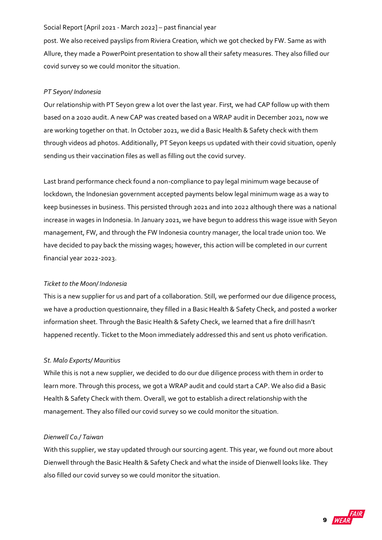post. We also received payslips from Riviera Creation, which we got checked by FW. Same as with Allure, they made a PowerPoint presentation to show all their safety measures. They also filled our covid survey so we could monitor the situation.

#### *PT Seyon/ Indonesia*

Our relationship with PT Seyon grew a lot over the last year. First, we had CAP follow up with them based on a 2020 audit. A new CAP was created based on a WRAP audit in December 2021, now we are working together on that. In October 2021, we did a Basic Health & Safety check with them through videos ad photos. Additionally, PT Seyon keeps us updated with their covid situation, openly sending us their vaccination files as well as filling out the covid survey.

Last brand performance check found a non-compliance to pay legal minimum wage because of lockdown, the Indonesian government accepted payments below legal minimum wage as a way to keep businesses in business. This persisted through 2021 and into 2022 although there was a national increase in wages in Indonesia. In January 2021, we have begun to address this wage issue with Seyon management, FW, and through the FW Indonesia country manager, the local trade union too. We have decided to pay back the missing wages; however, this action will be completed in our current financial year 2022-2023.

#### *Ticket to the Moon/ Indonesia*

This is a new supplier for us and part of a collaboration. Still, we performed our due diligence process, we have a production questionnaire, they filled in a Basic Health & Safety Check, and posted a worker information sheet. Through the Basic Health & Safety Check, we learned that a fire drill hasn't happened recently. Ticket to the Moon immediately addressed this and sent us photo verification.

#### *St. Malo Exports/ Mauritius*

While this is not a new supplier, we decided to do our due diligence process with them in order to learn more. Through this process, we got a WRAP audit and could start a CAP. We also did a Basic Health & Safety Check with them. Overall, we got to establish a direct relationship with the management. They also filled our covid survey so we could monitor the situation.

#### *Dienwell Co./ Taiwan*

With this supplier, we stay updated through our sourcing agent. This year, we found out more about Dienwell through the Basic Health & Safety Check and what the inside of Dienwell looks like. They also filled our covid survey so we could monitor the situation.

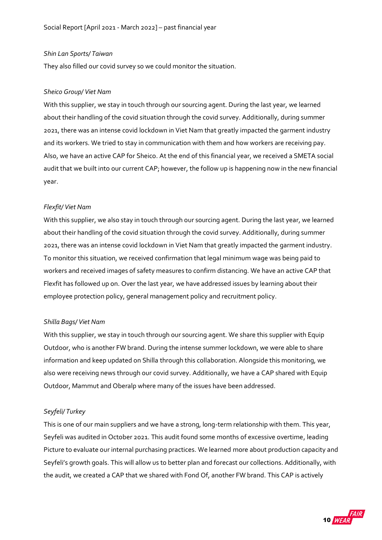#### *Shin Lan Sports/ Taiwan*

They also filled our covid survey so we could monitor the situation.

#### *Sheico Group/ Viet Nam*

With this supplier, we stay in touch through our sourcing agent. During the last year, we learned about their handling of the covid situation through the covid survey. Additionally, during summer 2021, there was an intense covid lockdown in Viet Nam that greatly impacted the garment industry and its workers. We tried to stay in communication with them and how workers are receiving pay. Also, we have an active CAP for Sheico. At the end of this financial year, we received a SMETA social audit that we built into our current CAP; however, the follow up is happening now in the new financial year.

#### *Flexfit/ Viet Nam*

With this supplier, we also stay in touch through our sourcing agent. During the last year, we learned about their handling of the covid situation through the covid survey. Additionally, during summer 2021, there was an intense covid lockdown in Viet Nam that greatly impacted the garment industry. To monitor this situation, we received confirmation that legal minimum wage was being paid to workers and received images of safety measures to confirm distancing. We have an active CAP that Flexfit has followed up on. Over the last year, we have addressed issues by learning about their employee protection policy, general management policy and recruitment policy.

#### *Shilla Bags/ Viet Nam*

With this supplier, we stay in touch through our sourcing agent. We share this supplier with Equip Outdoor, who is another FW brand. During the intense summer lockdown, we were able to share information and keep updated on Shilla through this collaboration. Alongside this monitoring, we also were receiving news through our covid survey. Additionally, we have a CAP shared with Equip Outdoor, Mammut and Oberalp where many of the issues have been addressed.

#### *Seyfeli/ Turkey*

This is one of our main suppliers and we have a strong, long-term relationship with them. This year, Seyfeli was audited in October 2021. This audit found some months of excessive overtime, leading Picture to evaluate our internal purchasing practices. We learned more about production capacity and Seyfeli's growth goals. This will allow us to better plan and forecast our collections. Additionally, with the audit, we created a CAP that we shared with Fond Of, another FW brand. This CAP is actively

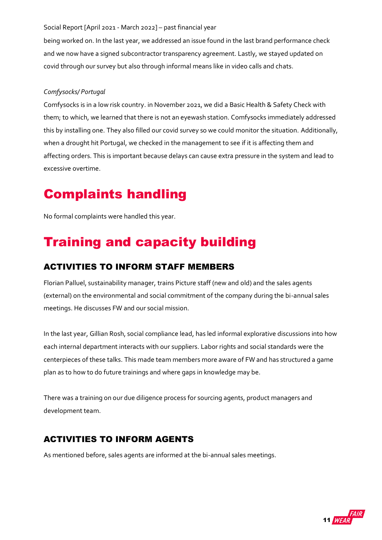being worked on. In the last year, we addressed an issue found in the last brand performance check and we now have a signed subcontractor transparency agreement. Lastly, we stayed updated on covid through our survey but also through informal means like in video calls and chats.

#### *Comfysocks/ Portugal*

Comfysocks is in a low risk country. in November 2021, we did a Basic Health & Safety Check with them; to which, we learned that there is not an eyewash station. Comfysocks immediately addressed this by installing one. They also filled our covid survey so we could monitor the situation. Additionally, when a drought hit Portugal, we checked in the management to see if it is affecting them and affecting orders. This is important because delays can cause extra pressure in the system and lead to excessive overtime.

## <span id="page-10-0"></span>Complaints handling

No formal complaints were handled this year.

# <span id="page-10-1"></span>Training and capacity building

### <span id="page-10-2"></span>ACTIVITIES TO INFORM STAFF MEMBERS

Florian Palluel, sustainability manager, trains Picture staff (new and old) and the sales agents (external) on the environmental and social commitment of the company during the bi-annual sales meetings. He discusses FW and our social mission.

In the last year, Gillian Rosh, social compliance lead, has led informal explorative discussions into how each internal department interacts with our suppliers. Labor rights and social standards were the centerpieces of these talks. This made team members more aware of FW and has structured a game plan as to how to do future trainings and where gaps in knowledge may be.

There was a training on our due diligence process for sourcing agents, product managers and development team.

### <span id="page-10-3"></span>ACTIVITIES TO INFORM AGENTS

As mentioned before, sales agents are informed at the bi-annual sales meetings.

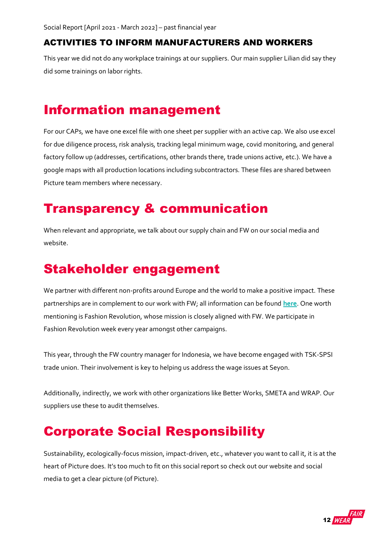### <span id="page-11-0"></span>ACTIVITIES TO INFORM MANUFACTURERS AND WORKERS

This year we did not do any workplace trainings at our suppliers. Our main supplier Lilian did say they did some trainings on labor rights.

## <span id="page-11-1"></span>Information management

For our CAPs, we have one excel file with one sheet per supplier with an active cap. We also use excel for due diligence process, risk analysis, tracking legal minimum wage, covid monitoring, and general factory follow up (addresses, certifications, other brands there, trade unions active, etc.). We have a google maps with all production locations including subcontractors. These files are shared between Picture team members where necessary.

### <span id="page-11-2"></span>Transparency & communication

When relevant and appropriate, we talk about our supply chain and FW on our social media and website.

## <span id="page-11-3"></span>Stakeholder engagement

We partner with different non-profits around Europe and the world to make a positive impact. These partnerships are in complement to our work with FW; all information can be found **[here](https://www.picture-organic-clothing.com/en/protect/)**. One worth mentioning is Fashion Revolution, whose mission is closely aligned with FW. We participate in Fashion Revolution week every year amongst other campaigns.

This year, through the FW country manager for Indonesia, we have become engaged with TSK-SPSI trade union. Their involvement is key to helping us address the wage issues at Seyon.

Additionally, indirectly, we work with other organizations like Better Works, SMETA and WRAP. Our suppliers use these to audit themselves.

### <span id="page-11-4"></span>Corporate Social Responsibility

Sustainability, ecologically-focus mission, impact-driven, etc., whatever you want to call it, it is at the heart of Picture does. It's too much to fit on this social report so check out our website and social media to get a clear picture (of Picture).